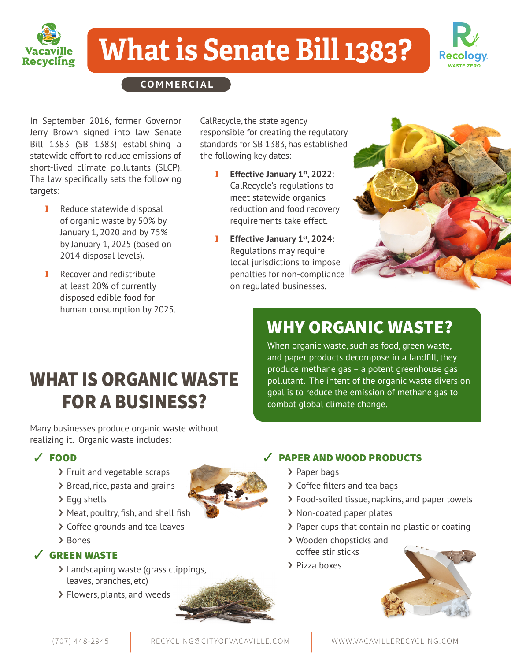

# **What is Senate Bill 1383?**



**COMMERCIAL**

In September 2016, former Governor Jerry Brown signed into law Senate Bill 1383 (SB 1383) establishing a statewide effort to reduce emissions of short-lived climate pollutants (SLCP). The law specifically sets the following targets:

- Reduce statewide disposal of organic waste by 50% by January 1, 2020 and by 75% by January 1, 2025 (based on 2014 disposal levels).
- **N** Recover and redistribute at least 20% of currently disposed edible food for human consumption by 2025.

CalRecycle, the state agency responsible for creating the regulatory standards for SB 1383, has established the following key dates:

- Effective January 1<sup>st</sup>, 2022: CalRecycle's regulations to meet statewide organics reduction and food recovery requirements take effect.
- ❱ **Effective January 1st, 2024:** Regulations may require local jurisdictions to impose penalties for non-compliance on regulated businesses.



## WHAT IS ORGANIC WASTE FOR A BUSINESS?

Many businesses produce organic waste without realizing it. Organic waste includes:

#### ✓ FOOD

- › Fruit and vegetable scraps
- › Bread, rice, pasta and grains
- > Egg shells
- › Meat, poultry, fish, and shell fish
- › Coffee grounds and tea leaves
- › Bones

#### ✓ GREEN WASTE

- › Landscaping waste (grass clippings, leaves, branches, etc)
- › Flowers, plants, and weeds



#### ✓ PAPER AND WOOD PRODUCTS

combat global climate change.

WHY ORGANIC WASTE?

When organic waste, such as food, green waste, and paper products decompose in a landfill, they produce methane gas – a potent greenhouse gas pollutant. The intent of the organic waste diversion goal is to reduce the emission of methane gas to

- › Paper bags
- › Coffee filters and tea bags
- › Food-soiled tissue, napkins, and paper towels
- › Non-coated paper plates
- › Paper cups that contain no plastic or coating
- › Wooden chopsticks and coffee stir sticks
- › Pizza boxes